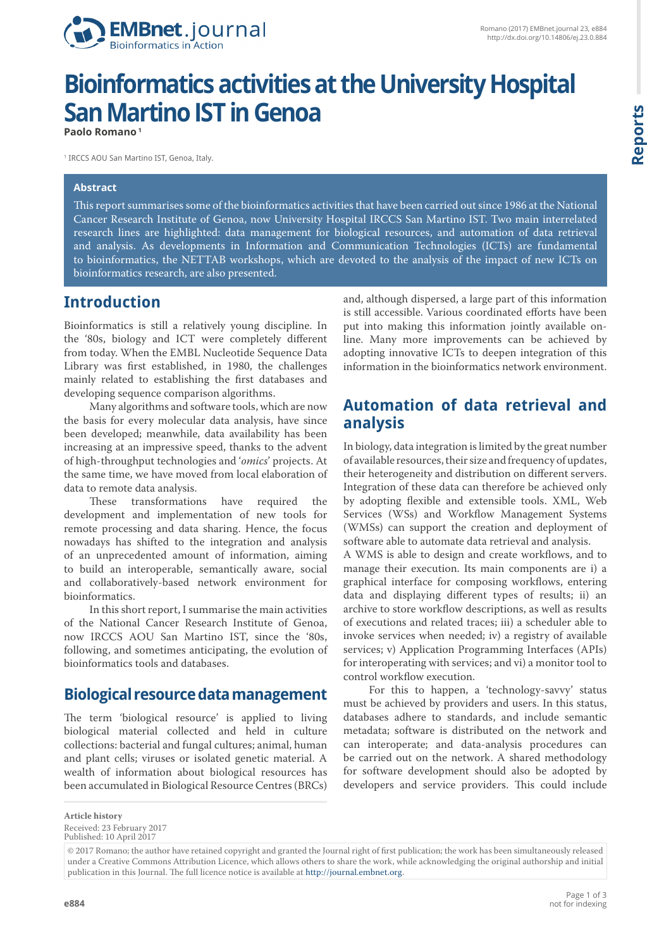

# **Bioinformatics activities at the University Hospital San Martino IST in Genoa**

**Paolo Romano 1**

1 IRCCS AOU San Martino IST, Genoa, Italy.

#### **Abstract**

This report summarises some of the bioinformatics activities that have been carried out since 1986 at the National Cancer Research Institute of Genoa, now University Hospital IRCCS San Martino IST. Two main interrelated research lines are highlighted: data management for biological resources, and automation of data retrieval and analysis. As developments in Information and Communication Technologies (ICTs) are fundamental to bioinformatics, the NETTAB workshops, which are devoted to the analysis of the impact of new ICTs on bioinformatics research, are also presented.

#### **Introduction**

Bioinformatics is still a relatively young discipline. In the '80s, biology and ICT were completely different from today. When the EMBL Nucleotide Sequence Data Library was first established, in 1980, the challenges mainly related to establishing the first databases and developing sequence comparison algorithms.

Many algorithms and software tools, which are now the basis for every molecular data analysis, have since been developed; meanwhile, data availability has been increasing at an impressive speed, thanks to the advent of high-throughput technologies and '*omics*' projects. At the same time, we have moved from local elaboration of data to remote data analysis.

These transformations have required the development and implementation of new tools for remote processing and data sharing. Hence, the focus nowadays has shifted to the integration and analysis of an unprecedented amount of information, aiming to build an interoperable, semantically aware, social and collaboratively-based network environment for bioinformatics.

In this short report, I summarise the main activities of the National Cancer Research Institute of Genoa, now IRCCS AOU San Martino IST, since the '80s, following, and sometimes anticipating, the evolution of bioinformatics tools and databases.

#### **Biological resource data management**

The term 'biological resource' is applied to living biological material collected and held in culture collections: bacterial and fungal cultures; animal, human and plant cells; viruses or isolated genetic material. A wealth of information about biological resources has been accumulated in Biological Resource Centres (BRCs) and, although dispersed, a large part of this information is still accessible. Various coordinated efforts have been put into making this information jointly available online. Many more improvements can be achieved by adopting innovative ICTs to deepen integration of this information in the bioinformatics network environment.

#### **Automation of data retrieval and analysis**

In biology, data integration is limited by the great number of available resources, their size and frequency of updates, their heterogeneity and distribution on different servers. Integration of these data can therefore be achieved only by adopting flexible and extensible tools. XML, Web Services (WSs) and Workflow Management Systems (WMSs) can support the creation and deployment of software able to automate data retrieval and analysis.

A WMS is able to design and create workflows, and to manage their execution. Its main components are i) a graphical interface for composing workflows, entering data and displaying different types of results; ii) an archive to store workflow descriptions, as well as results of executions and related traces; iii) a scheduler able to invoke services when needed; iv) a registry of available services; v) Application Programming Interfaces (APIs) for interoperating with services; and vi) a monitor tool to control workflow execution.

For this to happen, a 'technology-savvy' status must be achieved by providers and users. In this status, databases adhere to standards, and include semantic metadata; software is distributed on the network and can interoperate; and data-analysis procedures can be carried out on the network. A shared methodology for software development should also be adopted by developers and service providers. This could include

**Article history** Received: 23 February 2017

Published: 10 April 2017

<sup>© 2017</sup> Romano; the author have retained copyright and granted the Journal right of first publication; the work has been simultaneously released under a Creative Commons Attribution Licence, which allows others to share the work, while acknowledging the original authorship and initial publication in this Journal. The full licence notice is available at [http://journal.embnet.org.](http://journal.embnet.org)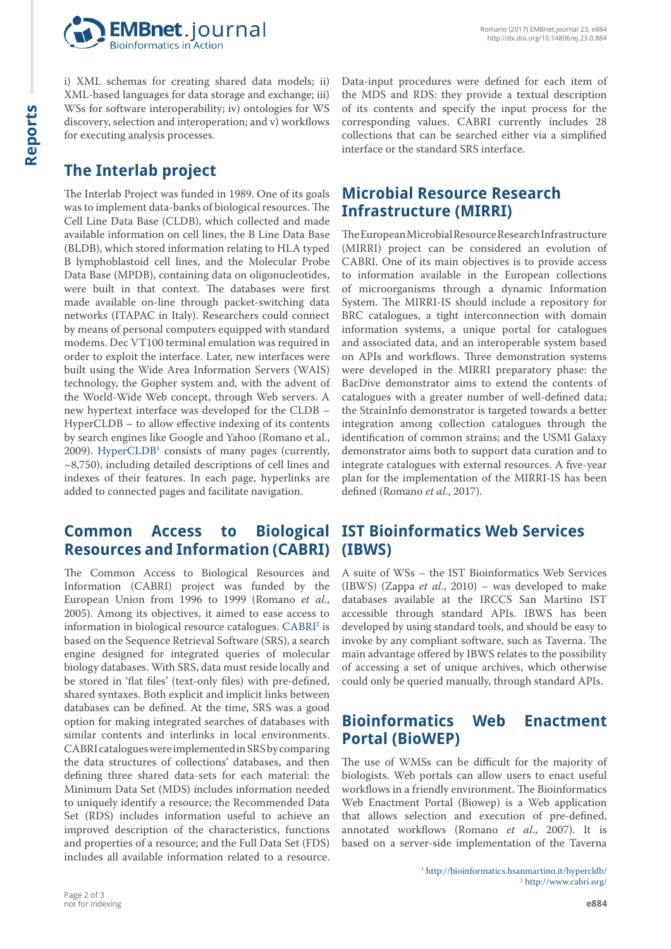

i) XML schemas for creating shared data models; ii) XML-based languages for data storage and exchange; iii) WSs for software interoperability; iv) ontologies for WS discovery, selection and interoperation; and v) workflows for executing analysis processes.

## **The Interlab project**

The Interlab Project was funded in 1989. One of its goals was to implement data-banks of biological resources. The Cell Line Data Base (CLDB), which collected and made available information on cell lines, the B Line Data Base (BLDB), which stored information relating to HLA typed B lymphoblastoid cell lines, and the Molecular Probe Data Base (MPDB), containing data on oligonucleotides, were built in that context. The databases were first made available on-line through packet-switching data networks (ITAPAC in Italy). Researchers could connect by means of personal computers equipped with standard modems. Dec VT100 terminal emulation was required in order to exploit the interface. Later, new interfaces were built using the Wide Area Information Servers (WAIS) technology, the Gopher system and, with the advent of the World-Wide Web concept, through Web servers. A new hypertext interface was developed for the CLDB – HyperCLDB – to allow effective indexing of its contents by search engines like Google and Yahoo (Romano et al.,  $2009$ ). Hyper $CLDB<sup>1</sup>$  consists of many pages (currently,  $\sim$ 8,750), including detailed descriptions of cell lines and indexes of their features. In each page, hyperlinks are added to connected pages and facilitate navigation.

#### **Common Access to Biological Resources and Information (CABRI)**

The Common Access to Biological Resources and Information (CABRI) project was funded by the European Union from 1996 to 1999 (Romano *et al*., 2005). Among its objectives, it aimed to ease access to information in biological resource catalogues.  $\mathrm{CABRI^2}$  $\mathrm{CABRI^2}$  $\mathrm{CABRI^2}$  is based on the Sequence Retrieval Software (SRS), a search engine designed for integrated queries of molecular biology databases. With SRS, data must reside locally and be stored in 'flat files' (text-only files) with pre-defined, shared syntaxes. Both explicit and implicit links between databases can be defined. At the time, SRS was a good option for making integrated searches of databases with similar contents and interlinks in local environments. CABRI catalogues were implemented in SRS by comparing the data structures of collections' databases, and then defining three shared data-sets for each material: the Minimum Data Set (MDS) includes information needed to uniquely identify a resource; the Recommended Data Set (RDS) includes information useful to achieve an improved description of the characteristics, functions and properties of a resource; and the Full Data Set (FDS) includes all available information related to a resource.

Data-input procedures were defined for each item of the MDS and RDS: they provide a textual description of its contents and specify the input process for the corresponding values. CABRI currently includes 28 collections that can be searched either via a simplified interface or the standard SRS interface.

### **Microbial Resource Research Infrastructure (MIRRI)**

The European Microbial Resource Research Infrastructure (MIRRI) project can be considered an evolution of CABRI. One of its main objectives is to provide access to information available in the European collections of microorganisms through a dynamic Information System. The MIRRI-IS should include a repository for BRC catalogues, a tight interconnection with domain information systems, a unique portal for catalogues and associated data, and an interoperable system based on APIs and workflows. Three demonstration systems were developed in the MIRRI preparatory phase: the BacDive demonstrator aims to extend the contents of catalogues with a greater number of well-defined data; the StrainInfo demonstrator is targeted towards a better integration among collection catalogues through the identification of common strains; and the USMI Galaxy demonstrator aims both to support data curation and to integrate catalogues with external resources. A five-year plan for the implementation of the MIRRI-IS has been defined (Romano *et al*., 2017).

#### **IST Bioinformatics Web Services (IBWS)**

A suite of WSs – the IST Bioinformatics Web Services (IBWS) (Zappa *et al*., 2010) – was developed to make databases available at the IRCCS San Martino IST accessible through standard APIs. IBWS has been developed by using standard tools, and should be easy to invoke by any compliant software, such as Taverna. The main advantage offered by IBWS relates to the possibility of accessing a set of unique archives, which otherwise could only be queried manually, through standard APIs.

### **Bioinformatics Web Enactment Portal (BioWEP)**

The use of WMSs can be difficult for the majority of biologists. Web portals can allow users to enact useful workflows in a friendly environment. The Bioinformatics Web Enactment Portal (Biowep) is a Web application that allows selection and execution of pre-defined, annotated workflows (Romano *et al*., 2007). It is based on a server-side implementation of the Taverna